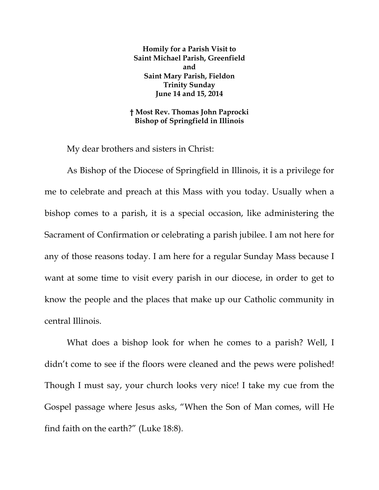**Homily for a Parish Visit to Saint Michael Parish, Greenfield and Saint Mary Parish, Fieldon Trinity Sunday June 14 and 15, 2014** 

**† Most Rev. Thomas John Paprocki Bishop of Springfield in Illinois** 

My dear brothers and sisters in Christ:

As Bishop of the Diocese of Springfield in Illinois, it is a privilege for me to celebrate and preach at this Mass with you today. Usually when a bishop comes to a parish, it is a special occasion, like administering the Sacrament of Confirmation or celebrating a parish jubilee. I am not here for any of those reasons today. I am here for a regular Sunday Mass because I want at some time to visit every parish in our diocese, in order to get to know the people and the places that make up our Catholic community in central Illinois.

What does a bishop look for when he comes to a parish? Well, I didn't come to see if the floors were cleaned and the pews were polished! Though I must say, your church looks very nice! I take my cue from the Gospel passage where Jesus asks, "When the Son of Man comes, will He find faith on the earth?" (Luke 18:8).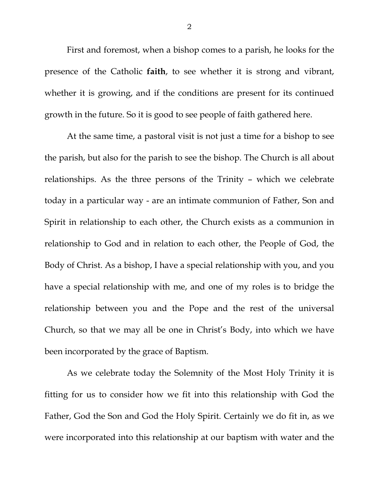First and foremost, when a bishop comes to a parish, he looks for the presence of the Catholic **faith**, to see whether it is strong and vibrant, whether it is growing, and if the conditions are present for its continued growth in the future. So it is good to see people of faith gathered here.

At the same time, a pastoral visit is not just a time for a bishop to see the parish, but also for the parish to see the bishop. The Church is all about relationships. As the three persons of the Trinity – which we celebrate today in a particular way - are an intimate communion of Father, Son and Spirit in relationship to each other, the Church exists as a communion in relationship to God and in relation to each other, the People of God, the Body of Christ. As a bishop, I have a special relationship with you, and you have a special relationship with me, and one of my roles is to bridge the relationship between you and the Pope and the rest of the universal Church, so that we may all be one in Christ's Body, into which we have been incorporated by the grace of Baptism.

As we celebrate today the Solemnity of the Most Holy Trinity it is fitting for us to consider how we fit into this relationship with God the Father, God the Son and God the Holy Spirit. Certainly we do fit in, as we were incorporated into this relationship at our baptism with water and the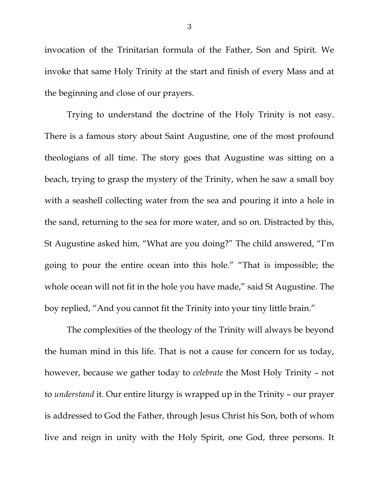invocation of the Trinitarian formula of the Father, Son and Spirit. We invoke that same Holy Trinity at the start and finish of every Mass and at the beginning and close of our prayers.

Trying to understand the doctrine of the Holy Trinity is not easy. There is a famous story about Saint Augustine, one of the most profound theologians of all time. The story goes that Augustine was sitting on a beach, trying to grasp the mystery of the Trinity, when he saw a small boy with a seashell collecting water from the sea and pouring it into a hole in the sand, returning to the sea for more water, and so on. Distracted by this, St Augustine asked him, "What are you doing?" The child answered, "I'm going to pour the entire ocean into this hole." "That is impossible; the whole ocean will not fit in the hole you have made," said St Augustine. The boy replied, "And you cannot fit the Trinity into your tiny little brain."

The complexities of the theology of the Trinity will always be beyond the human mind in this life. That is not a cause for concern for us today, however, because we gather today to *celebrate* the Most Holy Trinity – not to *understand* it. Our entire liturgy is wrapped up in the Trinity – our prayer is addressed to God the Father, through Jesus Christ his Son, both of whom live and reign in unity with the Holy Spirit, one God, three persons. It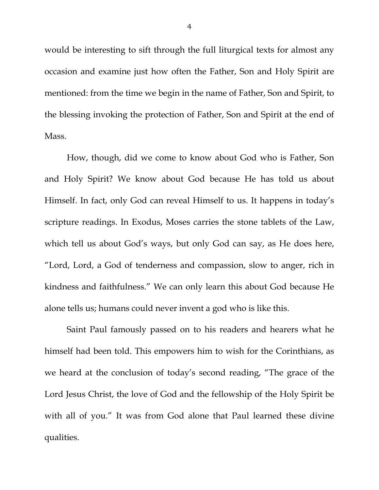would be interesting to sift through the full liturgical texts for almost any occasion and examine just how often the Father, Son and Holy Spirit are mentioned: from the time we begin in the name of Father, Son and Spirit, to the blessing invoking the protection of Father, Son and Spirit at the end of Mass.

How, though, did we come to know about God who is Father, Son and Holy Spirit? We know about God because He has told us about Himself. In fact, only God can reveal Himself to us. It happens in today's scripture readings. In Exodus, Moses carries the stone tablets of the Law, which tell us about God's ways, but only God can say, as He does here, "Lord, Lord, a God of tenderness and compassion, slow to anger, rich in kindness and faithfulness." We can only learn this about God because He alone tells us; humans could never invent a god who is like this.

Saint Paul famously passed on to his readers and hearers what he himself had been told. This empowers him to wish for the Corinthians, as we heard at the conclusion of today's second reading, "The grace of the Lord Jesus Christ, the love of God and the fellowship of the Holy Spirit be with all of you." It was from God alone that Paul learned these divine qualities.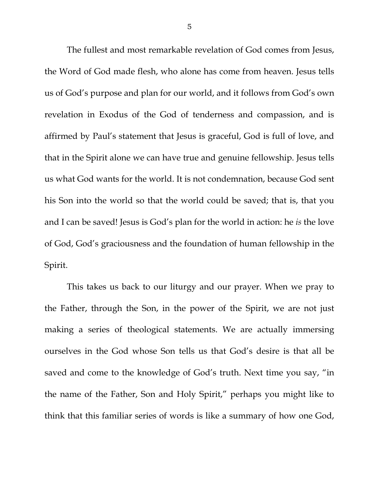The fullest and most remarkable revelation of God comes from Jesus, the Word of God made flesh, who alone has come from heaven. Jesus tells us of God's purpose and plan for our world, and it follows from God's own revelation in Exodus of the God of tenderness and compassion, and is affirmed by Paul's statement that Jesus is graceful, God is full of love, and that in the Spirit alone we can have true and genuine fellowship. Jesus tells us what God wants for the world. It is not condemnation, because God sent his Son into the world so that the world could be saved; that is, that you and I can be saved! Jesus is God's plan for the world in action: he *is* the love of God, God's graciousness and the foundation of human fellowship in the Spirit.

This takes us back to our liturgy and our prayer. When we pray to the Father, through the Son, in the power of the Spirit, we are not just making a series of theological statements. We are actually immersing ourselves in the God whose Son tells us that God's desire is that all be saved and come to the knowledge of God's truth. Next time you say, "in the name of the Father, Son and Holy Spirit," perhaps you might like to think that this familiar series of words is like a summary of how one God,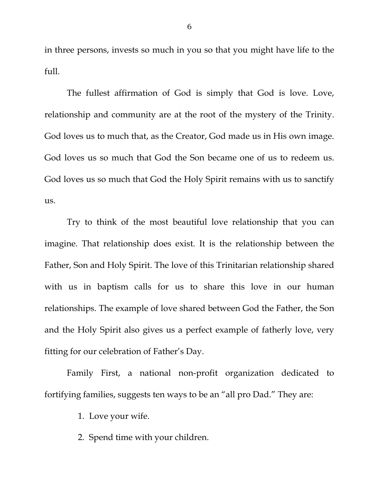in three persons, invests so much in you so that you might have life to the full.

The fullest affirmation of God is simply that God is love. Love, relationship and community are at the root of the mystery of the Trinity. God loves us to much that, as the Creator, God made us in His own image. God loves us so much that God the Son became one of us to redeem us. God loves us so much that God the Holy Spirit remains with us to sanctify us.

Try to think of the most beautiful love relationship that you can imagine. That relationship does exist. It is the relationship between the Father, Son and Holy Spirit. The love of this Trinitarian relationship shared with us in baptism calls for us to share this love in our human relationships. The example of love shared between God the Father, the Son and the Holy Spirit also gives us a perfect example of fatherly love, very fitting for our celebration of Father's Day.

Family First, a national non-profit organization dedicated to fortifying families, suggests ten ways to be an "all pro Dad." They are:

1. Love your wife.

2. Spend time with your children.